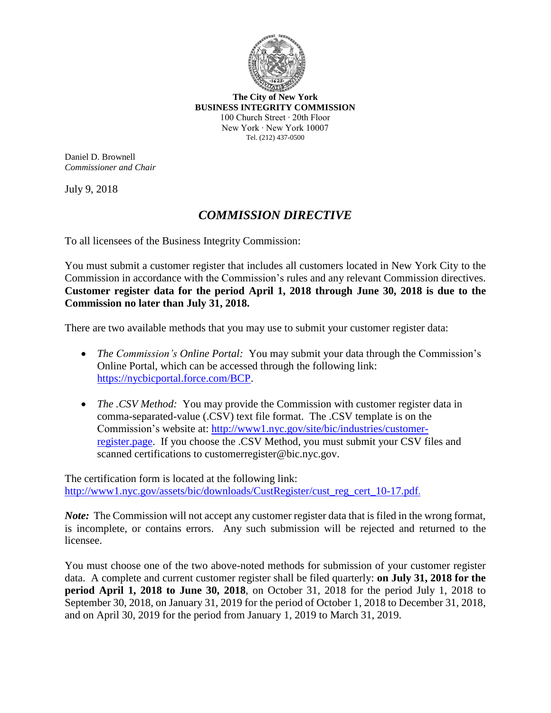

**The City of New York BUSINESS INTEGRITY COMMISSION** 100 Church Street ∙ 20th Floor New York ∙ New York 10007 Tel. (212) 437-0500

Daniel D. Brownell *Commissioner and Chair*

July 9, 2018

## *COMMISSION DIRECTIVE*

To all licensees of the Business Integrity Commission:

You must submit a customer register that includes all customers located in New York City to the Commission in accordance with the Commission's rules and any relevant Commission directives. **Customer register data for the period April 1, 2018 through June 30, 2018 is due to the Commission no later than July 31, 2018.**

There are two available methods that you may use to submit your customer register data:

- *The Commission's Online Portal:* You may submit your data through the Commission's Online Portal, which can be accessed through the following link: [https://nycbicportal.force.com/BCP.](https://nycbicportal.force.com/BCP)
- *The .CSV Method:* You may provide the Commission with customer register data in comma-separated-value (.CSV) text file format. The .CSV template is on the Commission's website at: http://www1.nyc.gov/site/bic/industries/customerregister.page. If you choose the .CSV Method, you must submit your CSV files and scanned certifications to customerregister@bic.nyc.gov.

The certification form is located at the following link: http://www1.nyc.gov/assets/bic/downloads/CustRegister/cust\_reg\_cert\_10-17.pdf.

*Note*: The Commission will not accept any customer register data that is filed in the wrong format, is incomplete, or contains errors. Any such submission will be rejected and returned to the licensee.

You must choose one of the two above-noted methods for submission of your customer register data. A complete and current customer register shall be filed quarterly: **on July 31, 2018 for the period April 1, 2018 to June 30, 2018**, on October 31, 2018 for the period July 1, 2018 to September 30, 2018, on January 31, 2019 for the period of October 1, 2018 to December 31, 2018, and on April 30, 2019 for the period from January 1, 2019 to March 31, 2019.